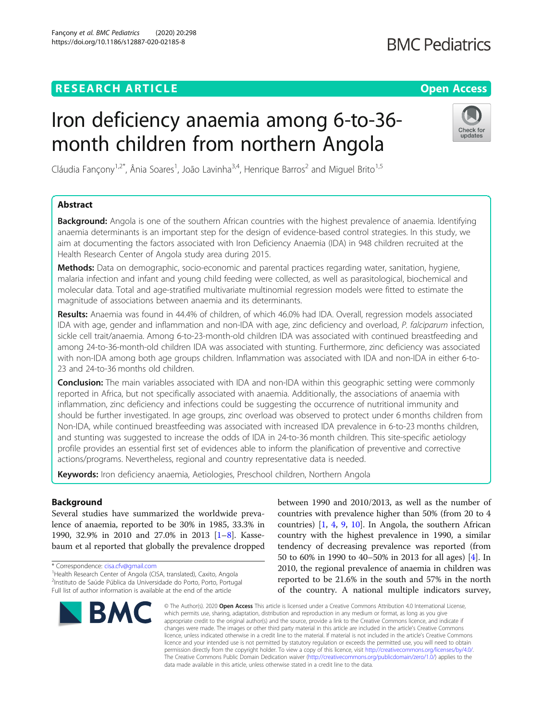# **RESEARCH ARTICLE Example 2014 12:30 The Contract of Contract ACCESS**

# Iron deficiency anaemia among 6-to-36 month children from northern Angola

Cláudia Fançony<sup>1,2\*</sup>, Ânia Soares<sup>1</sup>, João Lavinha<sup>3,4</sup>, Henrique Barros<sup>2</sup> and Miguel Brito<sup>1,5</sup>

# Abstract

**Background:** Angola is one of the southern African countries with the highest prevalence of anaemia. Identifying anaemia determinants is an important step for the design of evidence-based control strategies. In this study, we aim at documenting the factors associated with Iron Deficiency Anaemia (IDA) in 948 children recruited at the Health Research Center of Angola study area during 2015.

Methods: Data on demographic, socio-economic and parental practices regarding water, sanitation, hygiene, malaria infection and infant and young child feeding were collected, as well as parasitological, biochemical and molecular data. Total and age-stratified multivariate multinomial regression models were fitted to estimate the magnitude of associations between anaemia and its determinants.

Results: Anaemia was found in 44.4% of children, of which 46.0% had IDA. Overall, regression models associated IDA with age, gender and inflammation and non-IDA with age, zinc deficiency and overload, P. falciparum infection, sickle cell trait/anaemia. Among 6-to-23-month-old children IDA was associated with continued breastfeeding and among 24-to-36-month-old children IDA was associated with stunting. Furthermore, zinc deficiency was associated with non-IDA among both age groups children. Inflammation was associated with IDA and non-IDA in either 6-to-23 and 24-to-36 months old children.

**Conclusion:** The main variables associated with IDA and non-IDA within this geographic setting were commonly reported in Africa, but not specifically associated with anaemia. Additionally, the associations of anaemia with inflammation, zinc deficiency and infections could be suggesting the occurrence of nutritional immunity and should be further investigated. In age groups, zinc overload was observed to protect under 6 months children from Non-IDA, while continued breastfeeding was associated with increased IDA prevalence in 6-to-23 months children, and stunting was suggested to increase the odds of IDA in 24-to-36 month children. This site-specific aetiology profile provides an essential first set of evidences able to inform the planification of preventive and corrective actions/programs. Nevertheless, regional and country representative data is needed.

Keywords: Iron deficiency anaemia, Aetiologies, Preschool children, Northern Angola

# Background

Several studies have summarized the worldwide prevalence of anaemia, reported to be 30% in 1985, 33.3% in 1990, 32.9% in 2010 and 27.0% in 2013 [\[1](#page-11-0)–[8\]](#page-11-0). Kassebaum et al reported that globally the prevalence dropped

<sup>1</sup> Health Research Center of Angola (CISA, translated), Caxito, Angola 2 Instituto de Saúde Pública da Universidade do Porto, Porto, Portugal Full list of author information is available at the end of the article

# \* Correspondence: [cisa.cfv@gmail.com](mailto:cisa.cfv@gmail.com) <sup>1</sup>



between 1990 and 2010/2013, as well as the number of countries with prevalence higher than 50% (from 20 to 4 countries) [[1,](#page-11-0) [4](#page-11-0), [9](#page-11-0), [10](#page-11-0)]. In Angola, the southern African country with the highest prevalence in 1990, a similar tendency of decreasing prevalence was reported (from 50 to 60% in 1990 to 40–50% in 2013 for all ages) [[4\]](#page-11-0). In 2010, the regional prevalence of anaemia in children was reported to be 21.6% in the south and 57% in the north of the country. A national multiple indicators survey,

© The Author(s), 2020 **Open Access** This article is licensed under a Creative Commons Attribution 4.0 International License, which permits use, sharing, adaptation, distribution and reproduction in any medium or format, as long as you give appropriate credit to the original author(s) and the source, provide a link to the Creative Commons licence, and indicate if changes were made. The images or other third party material in this article are included in the article's Creative Commons licence, unless indicated otherwise in a credit line to the material. If material is not included in the article's Creative Commons licence and your intended use is not permitted by statutory regulation or exceeds the permitted use, you will need to obtain permission directly from the copyright holder. To view a copy of this licence, visit [http://creativecommons.org/licenses/by/4.0/.](http://creativecommons.org/licenses/by/4.0/) The Creative Commons Public Domain Dedication waiver [\(http://creativecommons.org/publicdomain/zero/1.0/](http://creativecommons.org/publicdomain/zero/1.0/)) applies to the data made available in this article, unless otherwise stated in a credit line to the data.



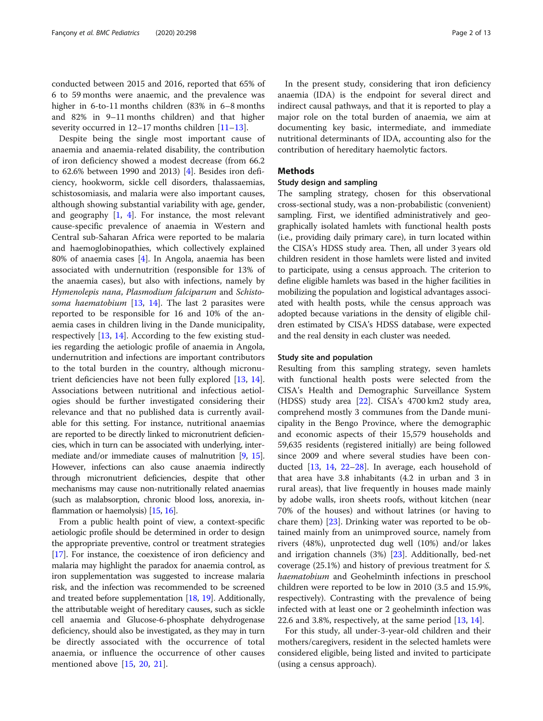<span id="page-1-0"></span>conducted between 2015 and 2016, reported that 65% of 6 to 59 months were anaemic, and the prevalence was higher in 6-to-11 months children (83% in 6–8 months and 82% in 9–11 months children) and that higher severity occurred in 12–17 months children [[11](#page-11-0)–[13](#page-11-0)].

Despite being the single most important cause of anaemia and anaemia-related disability, the contribution of iron deficiency showed a modest decrease (from 66.2 to 62.6% between 1990 and 2013) [\[4](#page-11-0)]. Besides iron deficiency, hookworm, sickle cell disorders, thalassaemias, schistosomiasis, and malaria were also important causes, although showing substantial variability with age, gender, and geography  $[1, 4]$  $[1, 4]$  $[1, 4]$  $[1, 4]$ . For instance, the most relevant cause-specific prevalence of anaemia in Western and Central sub-Saharan Africa were reported to be malaria and haemoglobinopathies, which collectively explained 80% of anaemia cases [\[4](#page-11-0)]. In Angola, anaemia has been associated with undernutrition (responsible for 13% of the anaemia cases), but also with infections, namely by Hymenolepis nana, Plasmodium falciparum and Schistosoma haematobium  $[13, 14]$  $[13, 14]$  $[13, 14]$  $[13, 14]$  $[13, 14]$ . The last 2 parasites were reported to be responsible for 16 and 10% of the anaemia cases in children living in the Dande municipality, respectively [[13](#page-11-0), [14\]](#page-11-0). According to the few existing studies regarding the aetiologic profile of anaemia in Angola, undernutrition and infections are important contributors to the total burden in the country, although micronutrient deficiencies have not been fully explored [[13,](#page-11-0) [14](#page-11-0)]. Associations between nutritional and infectious aetiologies should be further investigated considering their relevance and that no published data is currently available for this setting. For instance, nutritional anaemias are reported to be directly linked to micronutrient deficiencies, which in turn can be associated with underlying, intermediate and/or immediate causes of malnutrition [\[9,](#page-11-0) [15](#page-11-0)]. However, infections can also cause anaemia indirectly through micronutrient deficiencies, despite that other mechanisms may cause non-nutritionally related anaemias (such as malabsorption, chronic blood loss, anorexia, inflammation or haemolysis) [[15,](#page-11-0) [16\]](#page-11-0).

From a public health point of view, a context-specific aetiologic profile should be determined in order to design the appropriate preventive, control or treatment strategies [[17](#page-11-0)]. For instance, the coexistence of iron deficiency and malaria may highlight the paradox for anaemia control, as iron supplementation was suggested to increase malaria risk, and the infection was recommended to be screened and treated before supplementation [[18](#page-11-0), [19](#page-11-0)]. Additionally, the attributable weight of hereditary causes, such as sickle cell anaemia and Glucose-6-phosphate dehydrogenase deficiency, should also be investigated, as they may in turn be directly associated with the occurrence of total anaemia, or influence the occurrence of other causes mentioned above [\[15](#page-11-0), [20,](#page-11-0) [21\]](#page-11-0).

In the present study, considering that iron deficiency anaemia (IDA) is the endpoint for several direct and indirect causal pathways, and that it is reported to play a major role on the total burden of anaemia, we aim at documenting key basic, intermediate, and immediate nutritional determinants of IDA, accounting also for the contribution of hereditary haemolytic factors.

# Methods

# Study design and sampling

The sampling strategy, chosen for this observational cross-sectional study, was a non-probabilistic (convenient) sampling. First, we identified administratively and geographically isolated hamlets with functional health posts (i.e., providing daily primary care), in turn located within the CISA's HDSS study area. Then, all under 3 years old children resident in those hamlets were listed and invited to participate, using a census approach. The criterion to define eligible hamlets was based in the higher facilities in mobilizing the population and logistical advantages associated with health posts, while the census approach was adopted because variations in the density of eligible children estimated by CISA's HDSS database, were expected and the real density in each cluster was needed.

# Study site and population

Resulting from this sampling strategy, seven hamlets with functional health posts were selected from the CISA's Health and Demographic Surveillance System (HDSS) study area [[22\]](#page-11-0). CISA's 4700 km2 study area, comprehend mostly 3 communes from the Dande municipality in the Bengo Province, where the demographic and economic aspects of their 15,579 households and 59,635 residents (registered initially) are being followed since 2009 and where several studies have been conducted [\[13](#page-11-0), [14,](#page-11-0) [22](#page-11-0)–[28](#page-12-0)]. In average, each household of that area have 3.8 inhabitants (4.2 in urban and 3 in rural areas), that live frequently in houses made mainly by adobe walls, iron sheets roofs, without kitchen (near 70% of the houses) and without latrines (or having to chare them) [[23\]](#page-12-0). Drinking water was reported to be obtained mainly from an unimproved source, namely from rivers (48%), unprotected dug well (10%) and/or lakes and irrigation channels (3%) [\[23](#page-12-0)]. Additionally, bed-net coverage (25.1%) and history of previous treatment for S. haematobium and Geohelminth infections in preschool children were reported to be low in 2010 (3.5 and 15.9%, respectively). Contrasting with the prevalence of being infected with at least one or 2 geohelminth infection was 22.6 and 3.8%, respectively, at the same period [\[13](#page-11-0), [14\]](#page-11-0).

For this study, all under-3-year-old children and their mothers/caregivers, resident in the selected hamlets were considered eligible, being listed and invited to participate (using a census approach).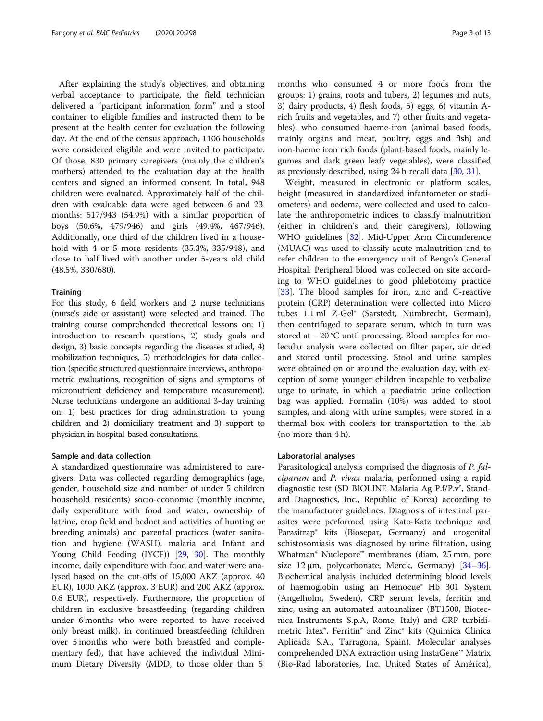After explaining the study's objectives, and obtaining verbal acceptance to participate, the field technician delivered a "participant information form" and a stool container to eligible families and instructed them to be present at the health center for evaluation the following day. At the end of the census approach, 1106 households were considered eligible and were invited to participate. Of those, 830 primary caregivers (mainly the children's mothers) attended to the evaluation day at the health centers and signed an informed consent. In total, 948 children were evaluated. Approximately half of the children with evaluable data were aged between 6 and 23 months: 517/943 (54.9%) with a similar proportion of boys (50.6%, 479/946) and girls (49.4%, 467/946). Additionally, one third of the children lived in a household with 4 or 5 more residents (35.3%, 335/948), and close to half lived with another under 5-years old child (48.5%, 330/680).

# **Training**

For this study, 6 field workers and 2 nurse technicians (nurse's aide or assistant) were selected and trained. The training course comprehended theoretical lessons on: 1) introduction to research questions, 2) study goals and design, 3) basic concepts regarding the diseases studied, 4) mobilization techniques, 5) methodologies for data collection (specific structured questionnaire interviews, anthropometric evaluations, recognition of signs and symptoms of micronutrient deficiency and temperature measurement). Nurse technicians undergone an additional 3-day training on: 1) best practices for drug administration to young children and 2) domiciliary treatment and 3) support to physician in hospital-based consultations.

# Sample and data collection

A standardized questionnaire was administered to caregivers. Data was collected regarding demographics (age, gender, household size and number of under 5 children household residents) socio-economic (monthly income, daily expenditure with food and water, ownership of latrine, crop field and bednet and activities of hunting or breeding animals) and parental practices (water sanitation and hygiene (WASH), malaria and Infant and Young Child Feeding (IYCF)) [\[29](#page-12-0), [30\]](#page-12-0). The monthly income, daily expenditure with food and water were analysed based on the cut-offs of 15,000 AKZ (approx. 40 EUR), 1000 AKZ (approx. 3 EUR) and 200 AKZ (approx. 0.6 EUR), respectively. Furthermore, the proportion of children in exclusive breastfeeding (regarding children under 6 months who were reported to have received only breast milk), in continued breastfeeding (children over 5 months who were both breastfed and complementary fed), that have achieved the individual Minimum Dietary Diversity (MDD, to those older than 5

months who consumed 4 or more foods from the groups: 1) grains, roots and tubers, 2) legumes and nuts, 3) dairy products, 4) flesh foods, 5) eggs, 6) vitamin Arich fruits and vegetables, and 7) other fruits and vegetables), who consumed haeme-iron (animal based foods, mainly organs and meat, poultry, eggs and fish) and non-haeme iron rich foods (plant-based foods, mainly legumes and dark green leafy vegetables), were classified as previously described, using 24 h recall data [\[30,](#page-12-0) [31\]](#page-12-0).

Weight, measured in electronic or platform scales, height (measured in standardized infantometer or stadiometers) and oedema, were collected and used to calculate the anthropometric indices to classify malnutrition (either in children's and their caregivers), following WHO guidelines [[32](#page-12-0)]. Mid-Upper Arm Circumference (MUAC) was used to classify acute malnutrition and to refer children to the emergency unit of Bengo's General Hospital. Peripheral blood was collected on site according to WHO guidelines to good phlebotomy practice [[33\]](#page-12-0). The blood samples for iron, zinc and C-reactive protein (CRP) determination were collected into Micro tubes 1.1 ml Z-Gel® (Sarstedt, Nümbrecht, Germain), then centrifuged to separate serum, which in turn was stored at − 20 °C until processing. Blood samples for molecular analysis were collected on filter paper, air dried and stored until processing. Stool and urine samples were obtained on or around the evaluation day, with exception of some younger children incapable to verbalize urge to urinate, in which a paediatric urine collection bag was applied. Formalin (10%) was added to stool samples, and along with urine samples, were stored in a thermal box with coolers for transportation to the lab (no more than 4 h).

# Laboratorial analyses

Parasitological analysis comprised the diagnosis of P. falciparum and P. vivax malaria, performed using a rapid diagnostic test (SD BIOLINE Malaria Ag P.f/P.v®, Standard Diagnostics, Inc., Republic of Korea) according to the manufacturer guidelines. Diagnosis of intestinal parasites were performed using Kato-Katz technique and Parasitrap® kits (Biosepar, Germany) and urogenital schistosomiasis was diagnosed by urine filtration, using Whatman® Nuclepore™ membranes (diam. 25 mm, pore size 12  $\mu$ m, polycarbonate, Merck, Germany) [[34](#page-12-0)–[36](#page-12-0)]. Biochemical analysis included determining blood levels of haemoglobin using an Hemocue® Hb 301 System (Angelholm, Sweden), CRP serum levels, ferritin and zinc, using an automated autoanalizer (BT1500, Biotecnica Instruments S.p.A, Rome, Italy) and CRP turbidimetric latex®, Ferritin® and Zinc® kits (Quimica Clínica Aplicada S.A., Tarragona, Spain). Molecular analyses comprehended DNA extraction using InstaGene™ Matrix (Bio-Rad laboratories, Inc. United States of América),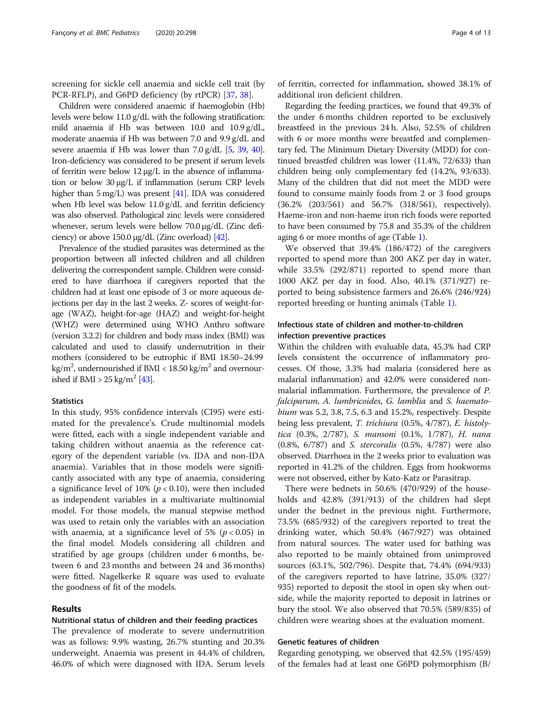screening for sickle cell anaemia and sickle cell trait (by PCR-RFLP), and G6PD deficiency (by rtPCR) [\[37](#page-12-0), [38\]](#page-12-0).

Children were considered anaemic if haemoglobin (Hb) levels were below 11.0 g/dL with the following stratification: mild anaemia if Hb was between 10.0 and 10.9 g/dL, moderate anaemia if Hb was between 7.0 and 9.9 g/dL and severe anaemia if Hb was lower than 7.0 g/dL [\[5,](#page-11-0) [39](#page-12-0), [40](#page-12-0)]. Iron-deficiency was considered to be present if serum levels of ferritin were below 12 μg/L in the absence of inflammation or below 30 μg/L if inflammation (serum CRP levels higher than 5 mg/L) was present [[41\]](#page-12-0). IDA was considered when Hb level was below 11.0 g/dL and ferritin deficiency was also observed. Pathological zinc levels were considered whenever, serum levels were bellow 70.0 μg/dL (Zinc deficiency) or above 150.0  $\mu$ g/dL (Zinc overload) [\[42\]](#page-12-0).

Prevalence of the studied parasites was determined as the proportion between all infected children and all children delivering the correspondent sample. Children were considered to have diarrhoea if caregivers reported that the children had at least one episode of 3 or more aqueous dejections per day in the last 2 weeks. Z- scores of weight-forage (WAZ), height-for-age (HAZ) and weight-for-height (WHZ) were determined using WHO Anthro software (version 3.2.2) for children and body mass index (BMI) was calculated and used to classify undernutrition in their mothers (considered to be eutrophic if BMI 18.50–24.99 kg/m<sup>2</sup>, undernourished if BMI <  $18.50$  kg/m<sup>2</sup> and overnourished if BMI >  $25 \text{ kg/m}^2$  [\[43\]](#page-12-0).

# **Statistics**

In this study, 95% confidence intervals (CI95) were estimated for the prevalence's. Crude multinomial models were fitted, each with a single independent variable and taking children without anaemia as the reference category of the dependent variable (vs. IDA and non-IDA anaemia). Variables that in those models were significantly associated with any type of anaemia, considering a significance level of 10% ( $p < 0.10$ ), were then included as independent variables in a multivariate multinomial model. For those models, the manual stepwise method was used to retain only the variables with an association with anaemia, at a significance level of 5% ( $p < 0.05$ ) in the final model. Models considering all children and stratified by age groups (children under 6 months, between 6 and 23 months and between 24 and 36 months) were fitted. Nagelkerke R square was used to evaluate the goodness of fit of the models.

# Results

# Nutritional status of children and their feeding practices

The prevalence of moderate to severe undernutrition was as follows: 9.9% wasting, 26.7% stunting and 20.3% underweight. Anaemia was present in 44.4% of children, 46.0% of which were diagnosed with IDA. Serum levels

of ferritin, corrected for inflammation, showed 38.1% of additional iron deficient children.

Regarding the feeding practices, we found that 49.3% of the under 6 months children reported to be exclusively breastfeed in the previous 24 h. Also, 52.5% of children with 6 or more months were breastfed and complementary fed. The Minimum Dietary Diversity (MDD) for continued breastfed children was lower (11.4%, 72/633) than children being only complementary fed (14.2%, 93/633). Many of the children that did not meet the MDD were found to consume mainly foods from 2 or 3 food groups (36.2% (203/561) and 56.7% (318/561), respectively). Haeme-iron and non-haeme iron rich foods were reported to have been consumed by 75.8 and 35.3% of the children aging 6 or more months of age (Table [1\)](#page-4-0).

We observed that 39.4% (186/472) of the caregivers reported to spend more than 200 AKZ per day in water, while 33.5% (292/871) reported to spend more than 1000 AKZ per day in food. Also, 40.1% (371/927) reported to being subsistence farmers and 26.6% (246/924) reported breeding or hunting animals (Table [1\)](#page-4-0).

# Infectious state of children and mother-to-children infection preventive practices

Within the children with evaluable data, 45.3% had CRP levels consistent the occurrence of inflammatory processes. Of those, 3.3% had malaria (considered here as malarial inflammation) and 42.0% were considered nonmalarial inflammation. Furthermore, the prevalence of P. falciparum, A. lumbricoides, G. lamblia and S. haematobium was 5.2, 3.8, 7.5, 6.3 and 15.2%, respectively. Despite being less prevalent, T. trichiura (0.5%, 4/787), E. histolytica (0.3%, 2/787), S. mansoni (0.1%, 1/787), H. nana (0.8%, 6/787) and S. stercoralis (0.5%, 4/787) were also observed. Diarrhoea in the 2 weeks prior to evaluation was reported in 41.2% of the children. Eggs from hookworms were not observed, either by Kato-Katz or Parasitrap.

There were bednets in 50.6% (470/929) of the households and 42.8% (391/913) of the children had slept under the bednet in the previous night. Furthermore, 73.5% (685/932) of the caregivers reported to treat the drinking water, which 50.4% (467/927) was obtained from natural sources. The water used for bathing was also reported to be mainly obtained from unimproved sources (63.1%, 502/796). Despite that, 74.4% (694/933) of the caregivers reported to have latrine, 35.0% (327/ 935) reported to deposit the stool in open sky when outside, while the majority reported to deposit in latrines or bury the stool. We also observed that 70.5% (589/835) of children were wearing shoes at the evaluation moment.

# Genetic features of children

Regarding genotyping, we observed that 42.5% (195/459) of the females had at least one G6PD polymorphism (B/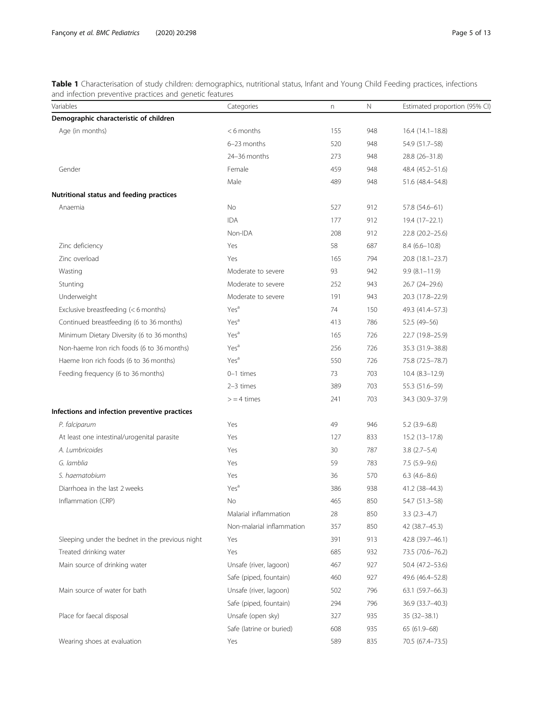<span id="page-4-0"></span>Table 1 Characterisation of study children: demographics, nutritional status, Infant and Young Child Feeding practices, infections and infection preventive practices and genetic features

| Variables                                       | Categories                | n   | Ν   | Estimated proportion (95% CI) |
|-------------------------------------------------|---------------------------|-----|-----|-------------------------------|
| Demographic characteristic of children          |                           |     |     |                               |
| Age (in months)                                 | $< 6$ months              | 155 | 948 | $16.4(14.1-18.8)$             |
|                                                 | 6-23 months               | 520 | 948 | 54.9 (51.7–58)                |
|                                                 | 24-36 months              | 273 | 948 | 28.8 (26-31.8)                |
| Gender                                          | Female                    | 459 | 948 | 48.4 (45.2-51.6)              |
|                                                 | Male                      | 489 | 948 | 51.6 (48.4-54.8)              |
| Nutritional status and feeding practices        |                           |     |     |                               |
| Anaemia                                         | No                        | 527 | 912 | 57.8 (54.6-61)                |
|                                                 | <b>IDA</b>                | 177 | 912 | $19.4(17-22.1)$               |
|                                                 | Non-IDA                   | 208 | 912 | 22.8 (20.2-25.6)              |
| Zinc deficiency                                 | Yes                       | 58  | 687 | $8.4(6.6 - 10.8)$             |
| Zinc overload                                   | Yes                       | 165 | 794 | 20.8 (18.1-23.7)              |
| Wasting                                         | Moderate to severe        | 93  | 942 | $9.9(8.1 - 11.9)$             |
| Stunting                                        | Moderate to severe        | 252 | 943 | 26.7 (24-29.6)                |
| Underweight                                     | Moderate to severe        | 191 | 943 | 20.3 (17.8-22.9)              |
| Exclusive breastfeeding (< 6 months)            | Yes <sup>a</sup>          | 74  | 150 | 49.3 (41.4-57.3)              |
| Continued breastfeeding (6 to 36 months)        | Yes <sup>a</sup>          | 413 | 786 | 52.5 (49-56)                  |
| Minimum Dietary Diversity (6 to 36 months)      | Yes <sup>a</sup>          | 165 | 726 | 22.7 (19.8-25.9)              |
| Non-haeme Iron rich foods (6 to 36 months)      | Yes <sup>a</sup>          | 256 | 726 | 35.3 (31.9-38.8)              |
| Haeme Iron rich foods (6 to 36 months)          | Yes <sup>a</sup>          | 550 | 726 | 75.8 (72.5-78.7)              |
| Feeding frequency (6 to 36 months)              | 0-1 times                 | 73  | 703 | $10.4(8.3-12.9)$              |
|                                                 | $2-3$ times               | 389 | 703 | 55.3 (51.6–59)                |
|                                                 | $>$ = 4 times             | 241 | 703 | 34.3 (30.9-37.9)              |
| Infections and infection preventive practices   |                           |     |     |                               |
| P. falciparum                                   | Yes                       | 49  | 946 | $5.2(3.9-6.8)$                |
| At least one intestinal/urogenital parasite     | Yes                       | 127 | 833 | $15.2(13 - 17.8)$             |
| A. Lumbricoides                                 | Yes                       | 30  | 787 | $3.8(2.7-5.4)$                |
| G. lamblia                                      | Yes                       | 59  | 783 | $7.5(5.9-9.6)$                |
| S. haematobium                                  | Yes                       | 36  | 570 | $6.3(4.6-8.6)$                |
| Diarrhoea in the last 2 weeks                   | Yes <sup>a</sup>          | 386 | 938 | 41.2 (38-44.3)                |
| Inflammation (CRP)                              | No                        | 465 | 850 | 54.7 (51.3-58)                |
|                                                 | Malarial inflammation     | 28  | 850 | $3.3(2.3-4.7)$                |
|                                                 | Non-malarial inflammation | 357 | 850 | 42 (38.7-45.3)                |
| Sleeping under the bednet in the previous night | Yes                       | 391 | 913 | 42.8 (39.7-46.1)              |
| Treated drinking water                          | Yes                       | 685 | 932 | 73.5 (70.6-76.2)              |
| Main source of drinking water                   | Unsafe (river, lagoon)    | 467 | 927 | 50.4 (47.2-53.6)              |
|                                                 | Safe (piped, fountain)    | 460 | 927 | 49.6 (46.4-52.8)              |
| Main source of water for bath                   | Unsafe (river, lagoon)    | 502 | 796 | 63.1 (59.7-66.3)              |
|                                                 | Safe (piped, fountain)    | 294 | 796 | 36.9 (33.7-40.3)              |
| Place for faecal disposal                       | Unsafe (open sky)         | 327 | 935 | $35(32 - 38.1)$               |
|                                                 | Safe (latrine or buried)  | 608 | 935 | 65 (61.9-68)                  |
| Wearing shoes at evaluation                     | Yes                       | 589 | 835 | 70.5 (67.4-73.5)              |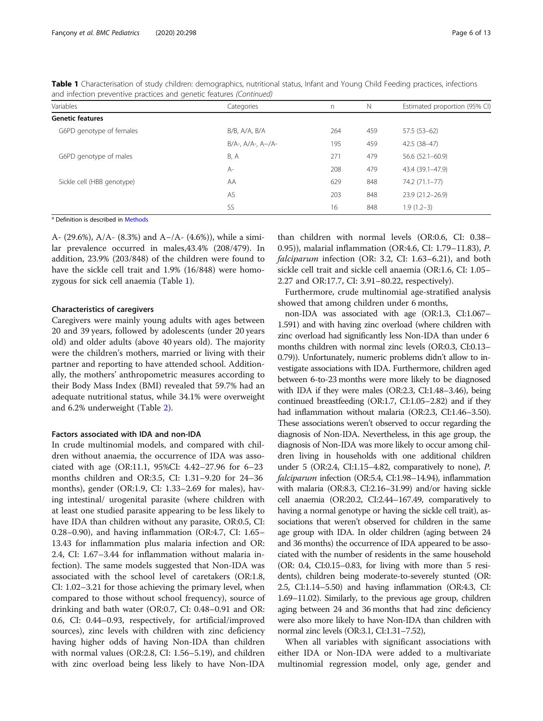| Variables                  | Categories                | n.  | N   | Estimated proportion (95% CI) |
|----------------------------|---------------------------|-----|-----|-------------------------------|
| <b>Genetic features</b>    |                           |     |     |                               |
| G6PD genotype of females   | B/B, A/A, B/A             | 264 | 459 | $57.5(53-62)$                 |
|                            | $B/A$ -, $A/A$ -, $A-/A-$ | 195 | 459 | $42.5(38-47)$                 |
| G6PD genotype of males     | <b>B, A</b>               | 271 | 479 | $56.6(52.1 - 60.9)$           |
|                            | $A-$                      | 208 | 479 | 43.4 (39.1–47.9)              |
| Sickle cell (HBB genotype) | AA                        | 629 | 848 | 74.2 (71.1-77)                |
|                            | AS                        | 203 | 848 | 23.9 (21.2-26.9)              |
|                            | SS                        | 16  | 848 | $1.9(1.2-3)$                  |

Table 1 Characterisation of study children: demographics, nutritional status, Infant and Young Child Feeding practices, infections and infection preventive practices and genetic features (Continued)

a Definition is described in [Methods](#page-1-0)

A- (29.6%), A/A- (8.3%) and A−/A- (4.6%)), while a similar prevalence occurred in males,43.4% (208/479). In addition, 23.9% (203/848) of the children were found to have the sickle cell trait and 1.9% (16/848) were homozygous for sick cell anaemia (Table [1](#page-4-0)).

# Characteristics of caregivers

Caregivers were mainly young adults with ages between 20 and 39 years, followed by adolescents (under 20 years old) and older adults (above 40 years old). The majority were the children's mothers, married or living with their partner and reporting to have attended school. Additionally, the mothers' anthropometric measures according to their Body Mass Index (BMI) revealed that 59.7% had an adequate nutritional status, while 34.1% were overweight and 6.2% underweight (Table [2](#page-6-0)).

# Factors associated with IDA and non-IDA

In crude multinomial models, and compared with children without anaemia, the occurrence of IDA was associated with age (OR:11.1, 95%CI: 4.42–27.96 for 6–23 months children and OR:3.5, CI: 1.31–9.20 for 24–36 months), gender (OR:1.9, CI: 1.33–2.69 for males), having intestinal/ urogenital parasite (where children with at least one studied parasite appearing to be less likely to have IDA than children without any parasite, OR:0.5, CI: 0.28–0.90), and having inflammation (OR:4.7, CI: 1.65– 13.43 for inflammation plus malaria infection and OR: 2.4, CI: 1.67–3.44 for inflammation without malaria infection). The same models suggested that Non-IDA was associated with the school level of caretakers (OR:1.8, CI: 1.02–3.21 for those achieving the primary level, when compared to those without school frequency), source of drinking and bath water (OR:0.7, CI: 0.48–0.91 and OR: 0.6, CI: 0.44–0.93, respectively, for artificial/improved sources), zinc levels with children with zinc deficiency having higher odds of having Non-IDA than children with normal values (OR:2.8, CI: 1.56–5.19), and children with zinc overload being less likely to have Non-IDA

than children with normal levels (OR:0.6, CI: 0.38– 0.95)), malarial inflammation (OR:4.6, CI: 1.79–11.83), P. falciparum infection (OR: 3.2, CI: 1.63–6.21), and both sickle cell trait and sickle cell anaemia (OR:1.6, CI: 1.05– 2.27 and OR:17.7, CI: 3.91–80.22, respectively).

Furthermore, crude multinomial age-stratified analysis showed that among children under 6 months,

non-IDA was associated with age (OR:1.3, CI:1.067– 1.591) and with having zinc overload (where children with zinc overload had significantly less Non-IDA than under 6 months children with normal zinc levels (OR:0.3, CI:0.13– 0.79)). Unfortunately, numeric problems didn't allow to investigate associations with IDA. Furthermore, children aged between 6-to-23 months were more likely to be diagnosed with IDA if they were males (OR:2.3, CI:1.48–3.46), being continued breastfeeding (OR:1.7, CI:1.05–2.82) and if they had inflammation without malaria (OR:2.3, CI:1.46–3.50). These associations weren't observed to occur regarding the diagnosis of Non-IDA. Nevertheless, in this age group, the diagnosis of Non-IDA was more likely to occur among children living in households with one additional children under 5 (OR:2.4, CI:1.15–4.82, comparatively to none), P. falciparum infection (OR:5.4, CI:1.98–14.94), inflammation with malaria (OR:8.3, CI:2.16–31.99) and/or having sickle cell anaemia (OR:20.2, CI:2.44–167.49, comparatively to having a normal genotype or having the sickle cell trait), associations that weren't observed for children in the same age group with IDA. In older children (aging between 24 and 36 months) the occurrence of IDA appeared to be associated with the number of residents in the same household (OR: 0.4, CI:0.15–0.83, for living with more than 5 residents), children being moderate-to-severely stunted (OR: 2.5, CI:1.14–5.50) and having inflammation (OR:4.3, CI: 1.69–11.02). Similarly, to the previous age group, children aging between 24 and 36 months that had zinc deficiency were also more likely to have Non-IDA than children with normal zinc levels (OR:3.1, CI:1.31–7.52),

When all variables with significant associations with either IDA or Non-IDA were added to a multivariate multinomial regression model, only age, gender and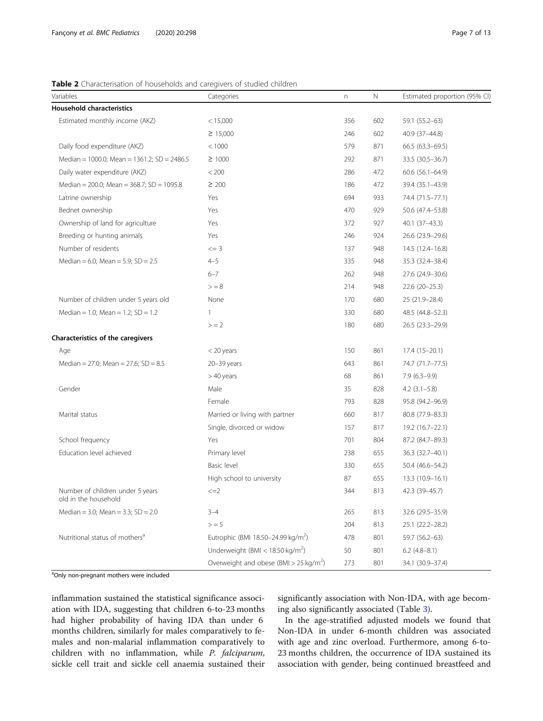# <span id="page-6-0"></span>Table 2 Characterisation of households and caregivers of studied children

| Variables                                                | Categories                                         | n   | Ν   | Estimated proportion (95% CI) |
|----------------------------------------------------------|----------------------------------------------------|-----|-----|-------------------------------|
| <b>Household characteristics</b>                         |                                                    |     |     |                               |
| Estimated monthly income (AKZ)                           | < 15,000                                           | 356 | 602 | 59.1 (55.2-63)                |
|                                                          | $\geq 15,000$                                      | 246 | 602 | 40.9 (37-44.8)                |
| Daily food expenditure (AKZ)                             | < 1000                                             | 579 | 871 | $66.5(63.3-69.5)$             |
| Median = 1000.0; Mean = 1361.2; SD = 2486.5              | $\geq 1000$                                        | 292 | 871 | 33.5 (30.5 - 36.7)            |
| Daily water expenditure (AKZ)                            | < 200                                              | 286 | 472 | $60.6$ $(56.1 - 64.9)$        |
| Median = 200.0; Mean = 368.7; SD = 1095.8                | $\geq 200$                                         | 186 | 472 | 39.4 (35.1-43.9)              |
| Latrine ownership                                        | Yes                                                | 694 | 933 | 74.4 (71.5-77.1)              |
| Bednet ownership                                         | Yes                                                | 470 | 929 | 50.6 (47.4-53.8)              |
| Ownership of land for agriculture                        | Yes                                                | 372 | 927 | 40.1 (37-43.3)                |
| Breeding or hunting animals                              | Yes                                                | 246 | 924 | 26.6 (23.9-29.6)              |
| Number of residents                                      | $\leq$ = 3                                         | 137 | 948 | 14.5 (12.4-16.8)              |
| Median = 6.0; Mean = 5.9; SD = 2.5                       | $4 - 5$                                            | 335 | 948 | 35.3 (32.4-38.4)              |
|                                                          | $6 - 7$                                            | 262 | 948 | 27.6 (24.9-30.6)              |
|                                                          | > 8                                                | 214 | 948 | $22.6(20-25.3)$               |
| Number of children under 5 years old                     | None                                               | 170 | 680 | 25 (21.9 - 28.4)              |
| Median = 1.0; Mean = 1.2; $SD = 1.2$                     | $\mathbf{1}$                                       | 330 | 680 | 48.5 (44.8-52.3)              |
|                                                          | $> = 2$                                            | 180 | 680 | 26.5 (23.3-29.9)              |
| Characteristics of the caregivers                        |                                                    |     |     |                               |
| Age                                                      | $<$ 20 years                                       | 150 | 861 | $17.4(15-20.1)$               |
| Median = 27.0; Mean = 27.6; SD = $8.5$                   | 20-39 years                                        | 643 | 861 | 74.7 (71.7–77.5)              |
|                                                          | $>40$ years                                        | 68  | 861 | $7.9(6.3-9.9)$                |
| Gender                                                   | Male                                               | 35  | 828 | $4.2$ (3.1-5.8)               |
|                                                          | Female                                             | 793 | 828 | 95.8 (94.2-96.9)              |
| Marital status                                           | Married or living with partner                     | 660 | 817 | 80.8 (77.9-83.3)              |
|                                                          | Single, divorced or widow                          | 157 | 817 | 19.2 (16.7-22.1)              |
| School frequency                                         | Yes                                                | 701 | 804 | 87.2 (84.7-89.3)              |
| Education level achieved                                 | Primary level                                      | 238 | 655 | 36.3 (32.7-40.1)              |
|                                                          | Basic level                                        | 330 | 655 | 50.4 (46.6-54.2)              |
|                                                          | High school to university                          | 87  | 655 | 13.3 (10.9-16.1)              |
| Number of children under 5 years<br>old in the household | $\leq$ $=$ $2$                                     | 344 | 813 | 42.3 (39-45.7)                |
| Median = 3.0; Mean = 3.3; $SD = 2.0$                     | $3 - 4$                                            | 265 | 813 | 32.6 (29.5 - 35.9)            |
|                                                          | $>$ = 5                                            | 204 | 813 | 25.1 (22.2-28.2)              |
| Nutritional status of mothers <sup>a</sup>               | Eutrophic (BMI 18.50-24.99 kg/m <sup>2</sup> )     | 478 | 801 | 59.7 (56.2-63)                |
|                                                          | Underweight (BMI < $18.50 \text{ kg/m}^2$ )        | 50  | 801 | $6.2$ (4.8-8.1)               |
|                                                          | Overweight and obese (BMI > 25 kg/m <sup>2</sup> ) | 273 | 801 | 34.1 (30.9-37.4)              |

<sup>a</sup>Only non-pregnant mothers were included

inflammation sustained the statistical significance association with IDA, suggesting that children 6-to-23 months had higher probability of having IDA than under 6 months children, similarly for males comparatively to females and non-malarial inflammation comparatively to children with no inflammation, while P. falciparum, sickle cell trait and sickle cell anaemia sustained their significantly association with Non-IDA, with age becoming also significantly associated (Table [3](#page-7-0)).

In the age-stratified adjusted models we found that Non-IDA in under 6-month children was associated with age and zinc overload. Furthermore, among 6-to-23 months children, the occurrence of IDA sustained its association with gender, being continued breastfeed and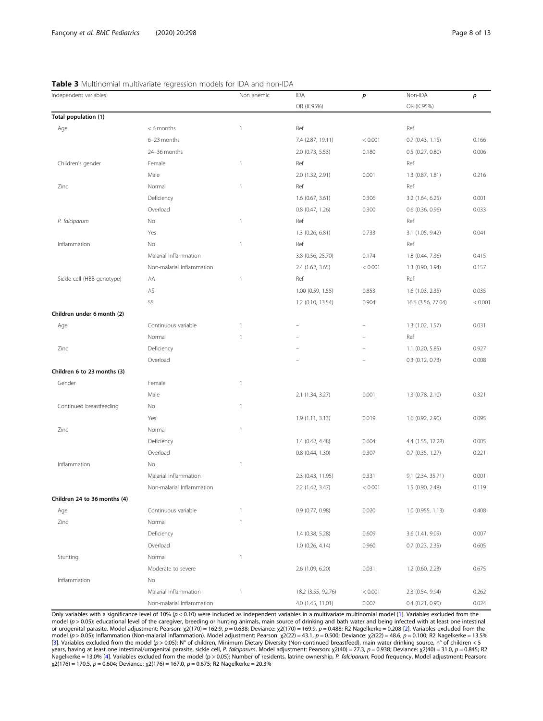<span id="page-7-0"></span>

|  | <b>Table 3</b> Multinomial multivariate regression models for IDA and non-IDA |  |  |
|--|-------------------------------------------------------------------------------|--|--|
|  |                                                                               |  |  |

| Independent variables        |                           | Non anemic               | IDA                | p       | Non-IDA            | p       |
|------------------------------|---------------------------|--------------------------|--------------------|---------|--------------------|---------|
|                              |                           |                          | OR (IC95%)         |         | OR (IC95%)         |         |
| Total population (1)         |                           |                          |                    |         |                    |         |
| Age                          | <6 months                 | $\overline{1}$           | Ref                |         | Ref                |         |
|                              | 6-23 months               |                          | 7.4 (2.87, 19.11)  | < 0.001 | $0.7$ (0.43, 1.15) | 0.166   |
|                              | 24-36 months              |                          | 2.0 (0.73, 5.53)   | 0.180   | 0.5 (0.27, 0.80)   | 0.006   |
| Children's gender            | Female                    | $\mathbf{1}$             | Ref                |         | Ref                |         |
|                              | Male                      |                          | 2.0 (1.32, 2.91)   | 0.001   | 1.3 (0.87, 1.81)   | 0.216   |
| Zinc                         | Normal                    | $\mathbf{1}$             | Ref                |         | Ref                |         |
|                              | Deficiency                |                          | $1.6$ (0.67, 3.61) | 0.306   | 3.2 (1.64, 6.25)   | 0.001   |
|                              | Overload                  |                          | 0.8 (0.47, 1.26)   | 0.300   | 0.6 (0.36, 0.96)   | 0.033   |
| P. falciparum                | No                        | $\mathbf{1}$             | Ref                |         | Ref                |         |
|                              | Yes                       |                          | 1.3 (0.26, 6.81)   | 0.733   | 3.1 (1.05, 9.42)   | 0.041   |
| Inflammation                 | No                        | $\mathbf{1}$             | Ref                |         | Ref                |         |
|                              | Malarial Inflammation     |                          | 3.8 (0.56, 25.70)  | 0.174   | 1.8 (0.44, 7.36)   | 0.415   |
|                              | Non-malarial Inflammation |                          | 2.4 (1.62, 3.65)   | < 0.001 | 1.3 (0.90, 1.94)   | 0.157   |
| Sickle cell (HBB genotype)   | AA                        | $\overline{1}$           | Ref                |         | Ref                |         |
|                              | AS                        |                          | 1.00 (0.59, 1.55)  | 0.853   | 1.6 (1.03, 2.35)   | 0.035   |
|                              | SS                        |                          | 1.2 (0.10, 13.54)  | 0.904   | 16.6 (3.56, 77.04) | < 0.001 |
| Children under 6 month (2)   |                           |                          |                    |         |                    |         |
| Age                          | Continuous variable       | $\mathbf{1}$             |                    |         | 1.3 (1.02, 1.57)   | 0.031   |
|                              | Normal                    | $\mathbf{1}$             |                    |         | Ref                |         |
| Zinc                         | Deficiency                |                          |                    |         | 1.1 (0.20, 5.85)   | 0.927   |
|                              | Overload                  |                          |                    |         | $0.3$ (0.12, 0.73) | 0.008   |
| Children 6 to 23 months (3)  |                           |                          |                    |         |                    |         |
| Gender                       | Female                    | $\mathbf{1}$             |                    |         |                    |         |
|                              | Male                      |                          | 2.1 (1.34, 3.27)   | 0.001   | 1.3 (0.78, 2.10)   | 0.321   |
| Continued breastfeeding      | No                        | $\mathbf{1}$             |                    |         |                    |         |
|                              | Yes                       |                          | 1.9 (1.11, 3.13)   | 0.019   | 1.6 (0.92, 2.90)   | 0.095   |
| Zinc                         | Normal                    | $\mathbf{1}$             |                    |         |                    |         |
|                              | Deficiency                |                          | 1.4 (0.42, 4.48)   | 0.604   | 4.4 (1.55, 12.28)  | 0.005   |
|                              | Overload                  |                          | $0.8$ (0.44, 1.30) | 0.307   | $0.7$ (0.35, 1.27) | 0.221   |
| Inflammation                 | <b>No</b>                 | $\overline{\phantom{a}}$ |                    |         |                    |         |
|                              | Malarial Inflammation     |                          | 2.3 (0.43, 11.95)  | 0.331   | 9.1 (2.34, 35.71)  | 0.001   |
|                              | Non-malarial Inflammation |                          | 2.2 (1.42, 3.47)   | < 0.001 | 1.5 (0.90, 2.48)   | 0.119   |
| Children 24 to 36 months (4) |                           |                          |                    |         |                    |         |
| Age                          | Continuous variable       | $\mathbf{1}$             | 0.9(0.77, 0.98)    | 0.020   | 1.0 (0.955, 1.13)  | 0.408   |
| Zinc                         | Normal                    | $\mathbf{1}$             |                    |         |                    |         |
|                              | Deficiency                |                          | 1.4 (0.38, 5.28)   | 0.609   | 3.6 (1.41, 9.09)   | 0.007   |
|                              | Overload                  |                          | $1.0$ (0.26, 4.14) | 0.960   | $0.7$ (0.23, 2.35) | 0.605   |
| Stunting                     | Normal                    | $\mathbf{1}$             |                    |         |                    |         |
|                              | Moderate to severe        |                          | 2.6 (1.09, 6.20)   | 0.031   | $1.2$ (0.60, 2.23) | 0.675   |
| Inflammation                 | No                        |                          |                    |         |                    |         |
|                              | Malarial Inflammation     | $\overline{\phantom{a}}$ | 18.2 (3.55, 92.76) | < 0.001 | 2.3 (0.54, 9.94)   | 0.262   |
|                              | Non-malarial Inflammation |                          | 4.0 (1.45, 11.01)  | 0.007   | $0.4$ (0.21, 0.90) | 0.024   |

Only variables with a significance level of 10%  $(p < 0.10)$  were included as independent variables in a multivariate multinomial model [\[1\]](#page-11-0). Variables excluded from the model (p > 0.05): educational level of the caregiver, breeding or hunting animals, main source of drinking and bath water and being infected with at least one intestinal<br>or urogenital parasite. Model adjustment: Pearson: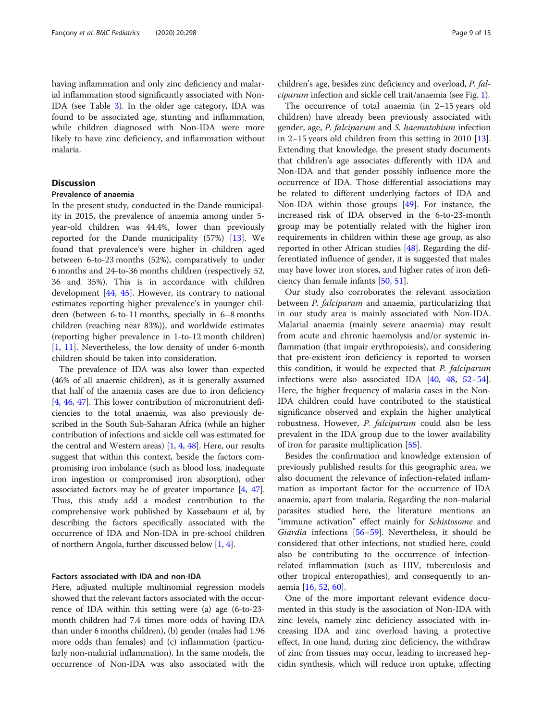having inflammation and only zinc deficiency and malarial inflammation stood significantly associated with Non-IDA (see Table [3\)](#page-7-0). In the older age category, IDA was found to be associated age, stunting and inflammation, while children diagnosed with Non-IDA were more likely to have zinc deficiency, and inflammation without malaria.

# **Discussion**

# Prevalence of anaemia

In the present study, conducted in the Dande municipality in 2015, the prevalence of anaemia among under 5 year-old children was 44.4%, lower than previously reported for the Dande municipality (57%) [\[13\]](#page-11-0). We found that prevalence's were higher in children aged between 6-to-23 months (52%), comparatively to under 6 months and 24-to-36 months children (respectively 52, 36 and 35%). This is in accordance with children development [\[44](#page-12-0), [45](#page-12-0)]. However, its contrary to national estimates reporting higher prevalence's in younger children (between 6-to-11 months, specially in 6–8 months children (reaching near 83%)), and worldwide estimates (reporting higher prevalence in 1-to-12 month children) [[1,](#page-11-0) [11\]](#page-11-0). Nevertheless, the low density of under 6-month children should be taken into consideration.

The prevalence of IDA was also lower than expected (46% of all anaemic children), as it is generally assumed that half of the anaemia cases are due to iron deficiency [[4,](#page-11-0) [46](#page-12-0), [47](#page-12-0)]. This lower contribution of micronutrient deficiencies to the total anaemia, was also previously described in the South Sub-Saharan Africa (while an higher contribution of infections and sickle cell was estimated for the central and Western areas) [\[1,](#page-11-0) [4,](#page-11-0) [48](#page-12-0)]. Here, our results suggest that within this context, beside the factors compromising iron imbalance (such as blood loss, inadequate iron ingestion or compromised iron absorption), other associated factors may be of greater importance [\[4](#page-11-0), [47](#page-12-0)]. Thus, this study add a modest contribution to the comprehensive work published by Kassebaum et al, by describing the factors specifically associated with the occurrence of IDA and Non-IDA in pre-school children of northern Angola, further discussed below [[1](#page-11-0), [4\]](#page-11-0).

# Factors associated with IDA and non-IDA

Here, adjusted multiple multinomial regression models showed that the relevant factors associated with the occurrence of IDA within this setting were (a) age (6-to-23 month children had 7.4 times more odds of having IDA than under 6 months children), (b) gender (males had 1.96 more odds than females) and (c) inflammation (particularly non-malarial inflammation). In the same models, the occurrence of Non-IDA was also associated with the

children's age, besides zinc deficiency and overload, P. falciparum infection and sickle cell trait/anaemia (see Fig. [1](#page-9-0)).

The occurrence of total anaemia (in 2–15 years old children) have already been previously associated with gender, age, P. falciparum and S. haematobium infection in 2–15 years old children from this setting in 2010 [\[13](#page-11-0)]. Extending that knowledge, the present study documents that children's age associates differently with IDA and Non-IDA and that gender possibly influence more the occurrence of IDA. Those differential associations may be related to different underlying factors of IDA and Non-IDA within those groups [\[49](#page-12-0)]. For instance, the increased risk of IDA observed in the 6-to-23-month group may be potentially related with the higher iron requirements in children within these age group, as also reported in other African studies [\[48\]](#page-12-0). Regarding the differentiated influence of gender, it is suggested that males may have lower iron stores, and higher rates of iron deficiency than female infants [[50,](#page-12-0) [51\]](#page-12-0).

Our study also corroborates the relevant association between P. falciparum and anaemia, particularizing that in our study area is mainly associated with Non-IDA. Malarial anaemia (mainly severe anaemia) may result from acute and chronic haemolysis and/or systemic inflammation (that impair erythropoiesis), and considering that pre-existent iron deficiency is reported to worsen this condition, it would be expected that P. falciparum infections were also associated IDA [[40](#page-12-0), [48](#page-12-0), [52](#page-12-0)–[54](#page-12-0)]. Here, the higher frequency of malaria cases in the Non-IDA children could have contributed to the statistical significance observed and explain the higher analytical robustness. However, P. falciparum could also be less prevalent in the IDA group due to the lower availability of iron for parasite multiplication [[55\]](#page-12-0).

Besides the confirmation and knowledge extension of previously published results for this geographic area, we also document the relevance of infection-related inflammation as important factor for the occurrence of IDA anaemia, apart from malaria. Regarding the non-malarial parasites studied here, the literature mentions an "immune activation" effect mainly for Schistosome and Giardia infections [\[56](#page-12-0)–[59\]](#page-12-0). Nevertheless, it should be considered that other infections, not studied here, could also be contributing to the occurrence of infectionrelated inflammation (such as HIV, tuberculosis and other tropical enteropathies), and consequently to anaemia [[16,](#page-11-0) [52](#page-12-0), [60](#page-12-0)].

One of the more important relevant evidence documented in this study is the association of Non-IDA with zinc levels, namely zinc deficiency associated with increasing IDA and zinc overload having a protective effect, In one hand, during zinc deficiency, the withdraw of zinc from tissues may occur, leading to increased hepcidin synthesis, which will reduce iron uptake, affecting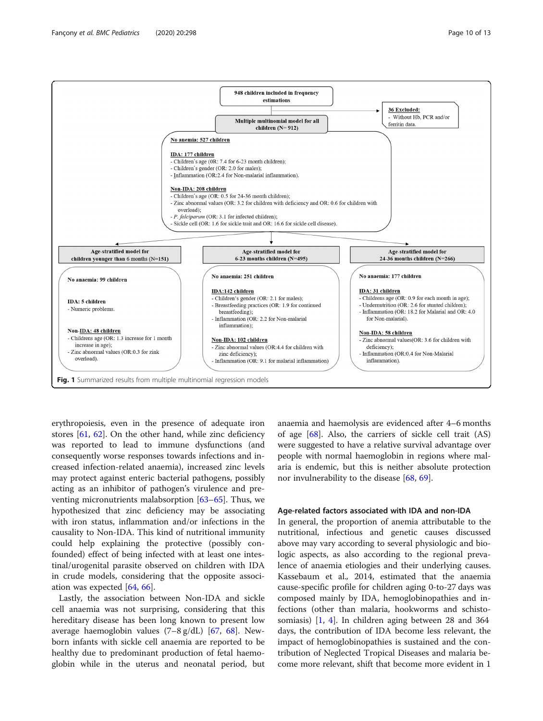

<span id="page-9-0"></span>

erythropoiesis, even in the presence of adequate iron stores [\[61](#page-12-0), [62](#page-12-0)]. On the other hand, while zinc deficiency was reported to lead to immune dysfunctions (and consequently worse responses towards infections and increased infection-related anaemia), increased zinc levels may protect against enteric bacterial pathogens, possibly acting as an inhibitor of pathogen's virulence and preventing micronutrients malabsorption [[63](#page-12-0)–[65\]](#page-12-0). Thus, we hypothesized that zinc deficiency may be associating with iron status, inflammation and/or infections in the causality to Non-IDA. This kind of nutritional immunity could help explaining the protective (possibly confounded) effect of being infected with at least one intestinal/urogenital parasite observed on children with IDA in crude models, considering that the opposite association was expected [\[64](#page-12-0), [66](#page-12-0)].

Lastly, the association between Non-IDA and sickle cell anaemia was not surprising, considering that this hereditary disease has been long known to present low average haemoglobin values  $(7-8 \text{ g/dL})$  [\[67,](#page-12-0) [68\]](#page-12-0). Newborn infants with sickle cell anaemia are reported to be healthy due to predominant production of fetal haemoglobin while in the uterus and neonatal period, but anaemia and haemolysis are evidenced after 4–6 months of age [\[68](#page-12-0)]. Also, the carriers of sickle cell trait (AS) were suggested to have a relative survival advantage over people with normal haemoglobin in regions where malaria is endemic, but this is neither absolute protection nor invulnerability to the disease [\[68,](#page-12-0) [69\]](#page-12-0).

# Age-related factors associated with IDA and non-IDA

In general, the proportion of anemia attributable to the nutritional, infectious and genetic causes discussed above may vary according to several physiologic and biologic aspects, as also according to the regional prevalence of anaemia etiologies and their underlying causes. Kassebaum et al., 2014, estimated that the anaemia cause-specific profile for children aging 0-to-27 days was composed mainly by IDA, hemoglobinopathies and infections (other than malaria, hookworms and schistosomiasis) [\[1](#page-11-0), [4](#page-11-0)]. In children aging between 28 and 364 days, the contribution of IDA become less relevant, the impact of hemoglobinopathies is sustained and the contribution of Neglected Tropical Diseases and malaria become more relevant, shift that become more evident in 1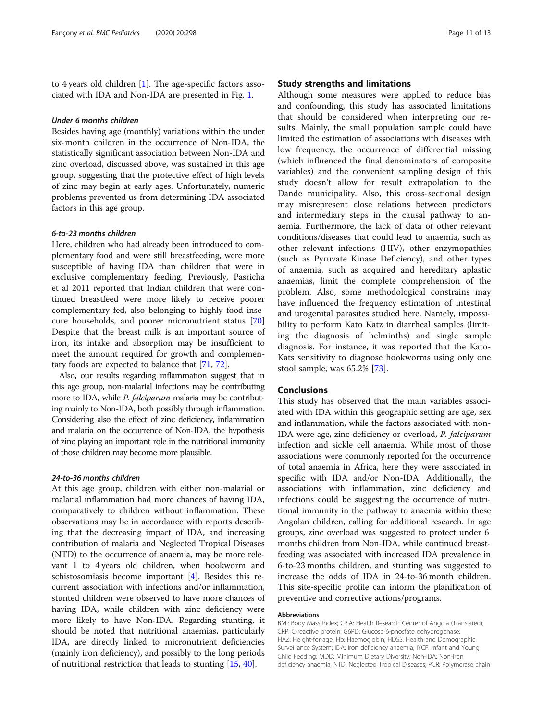to 4 years old children [\[1](#page-11-0)]. The age-specific factors associated with IDA and Non-IDA are presented in Fig. [1](#page-9-0).

# Under 6 months children

Besides having age (monthly) variations within the under six-month children in the occurrence of Non-IDA, the statistically significant association between Non-IDA and zinc overload, discussed above, was sustained in this age group, suggesting that the protective effect of high levels of zinc may begin at early ages. Unfortunately, numeric problems prevented us from determining IDA associated factors in this age group.

# 6-to-23 months children

Here, children who had already been introduced to complementary food and were still breastfeeding, were more susceptible of having IDA than children that were in exclusive complementary feeding. Previously, Pasricha et al 2011 reported that Indian children that were continued breastfeed were more likely to receive poorer complementary fed, also belonging to highly food insecure households, and poorer micronutrient status [[70](#page-12-0)] Despite that the breast milk is an important source of iron, its intake and absorption may be insufficient to meet the amount required for growth and complementary foods are expected to balance that [[71](#page-12-0), [72](#page-12-0)].

Also, our results regarding inflammation suggest that in this age group, non-malarial infections may be contributing more to IDA, while *P. falciparum* malaria may be contributing mainly to Non-IDA, both possibly through inflammation. Considering also the effect of zinc deficiency, inflammation and malaria on the occurrence of Non-IDA, the hypothesis of zinc playing an important role in the nutritional immunity of those children may become more plausible.

# 24-to-36 months children

At this age group, children with either non-malarial or malarial inflammation had more chances of having IDA, comparatively to children without inflammation. These observations may be in accordance with reports describing that the decreasing impact of IDA, and increasing contribution of malaria and Neglected Tropical Diseases (NTD) to the occurrence of anaemia, may be more relevant 1 to 4 years old children, when hookworm and schistosomiasis become important [\[4](#page-11-0)]. Besides this recurrent association with infections and/or inflammation, stunted children were observed to have more chances of having IDA, while children with zinc deficiency were more likely to have Non-IDA. Regarding stunting, it should be noted that nutritional anaemias, particularly IDA, are directly linked to micronutrient deficiencies (mainly iron deficiency), and possibly to the long periods of nutritional restriction that leads to stunting [[15,](#page-11-0) [40\]](#page-12-0).

# Study strengths and limitations

Although some measures were applied to reduce bias and confounding, this study has associated limitations that should be considered when interpreting our results. Mainly, the small population sample could have limited the estimation of associations with diseases with low frequency, the occurrence of differential missing (which influenced the final denominators of composite variables) and the convenient sampling design of this study doesn't allow for result extrapolation to the Dande municipality. Also, this cross-sectional design may misrepresent close relations between predictors and intermediary steps in the causal pathway to anaemia. Furthermore, the lack of data of other relevant conditions/diseases that could lead to anaemia, such as other relevant infections (HIV), other enzymopathies (such as Pyruvate Kinase Deficiency), and other types of anaemia, such as acquired and hereditary aplastic anaemias, limit the complete comprehension of the problem. Also, some methodological constrains may have influenced the frequency estimation of intestinal and urogenital parasites studied here. Namely, impossibility to perform Kato Katz in diarrheal samples (limiting the diagnosis of helminths) and single sample diagnosis. For instance, it was reported that the Kato-Kats sensitivity to diagnose hookworms using only one stool sample, was 65.2% [[73\]](#page-12-0).

# Conclusions

This study has observed that the main variables associated with IDA within this geographic setting are age, sex and inflammation, while the factors associated with non-IDA were age, zinc deficiency or overload, P. falciparum infection and sickle cell anaemia. While most of those associations were commonly reported for the occurrence of total anaemia in Africa, here they were associated in specific with IDA and/or Non-IDA. Additionally, the associations with inflammation, zinc deficiency and infections could be suggesting the occurrence of nutritional immunity in the pathway to anaemia within these Angolan children, calling for additional research. In age groups, zinc overload was suggested to protect under 6 months children from Non-IDA, while continued breastfeeding was associated with increased IDA prevalence in 6-to-23 months children, and stunting was suggested to increase the odds of IDA in 24-to-36 month children. This site-specific profile can inform the planification of preventive and corrective actions/programs.

# Abbreviations

BMI: Body Mass Index; CISA: Health Research Center of Angola (Translated); CRP: C-reactive protein; G6PD: Glucose-6-phosfate dehydrogenase; HAZ: Height-for-age; Hb: Haemoglobin; HDSS: Health and Demographic Surveillance System; IDA: Iron deficiency anaemia; IYCF: Infant and Young Child Feeding; MDD: Minimum Dietary Diversity; Non-IDA: Non-iron deficiency anaemia; NTD: Neglected Tropical Diseases; PCR: Polymerase chain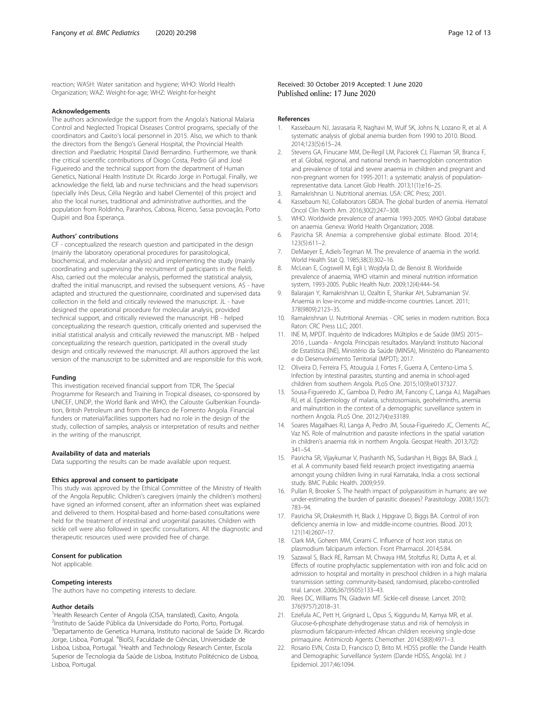<span id="page-11-0"></span>reaction; WASH: Water sanitation and hygiene; WHO: World Health Organization; WAZ: Weight-for-age; WHZ: Weight-for-height

# Acknowledgements

The authors acknowledge the support from the Angola's National Malaria Control and Neglected Tropical Diseases Control programs, specially of the coordinators and Caxito's local personnel in 2015. Also, we which to thank the directors from the Bengo's General Hospital, the Provincial Health direction and Paediatric Hospital David Bernardino. Furthermore, we thank the critical scientific contributions of Diogo Costa, Pedro Gil and José Figueiredo and the technical support from the department of Human Genetics, National Health Institute Dr. Ricardo Jorge in Portugal. Finally, we acknowledge the field, lab and nurse technicians and the head supervisors (specially Inês Deus, Célia Negrão and Isabel Clemente) of this project and also the local nurses, traditional and administrative authorities, and the population from Roldinho, Paranhos, Caboxa, Riceno, Sassa povoação, Porto Quipiri and Boa Esperança.

### Authors' contributions

CF - conceptualized the research question and participated in the design (mainly the laboratory operational procedures for parasitological, biochemical, and molecular analysis) and implementing the study (mainly coordinating and supervising the recruitment of participants in the field). Also, carried out the molecular analysis, performed the statistical analysis, drafted the initial manuscript, and revised the subsequent versions. AS - have adapted and structured the questionnaire, coordinated and supervised data collection in the field and critically reviewed the manuscript. JL - have designed the operational procedure for molecular analysis, provided technical support, and critically reviewed the manuscript. HB - helped conceptualizing the research question, critically oriented and supervised the initial statistical analysis and critically reviewed the manuscript. MB - helped conceptualizing the research question, participated in the overall study design and critically reviewed the manuscript. All authors approved the last version of the manuscript to be submitted and are responsible for this work.

#### Funding

This investigation received financial support from TDR, The Special Programme for Research and Training in Tropical diseases, co-sponsored by UNICEF, UNDP, the World Bank and WHO, the Calouste Gulbenkian Foundation, British Petroleum and from the Banco de Fomento Angola. Financial funders or material/facilities supporters had no role in the design of the study, collection of samples, analysis or interpretation of results and neither in the writing of the manuscript.

### Availability of data and materials

Data supporting the results can be made available upon request.

# Ethics approval and consent to participate

This study was approved by the Ethical Committee of the Ministry of Health of the Angola Republic. Children's caregivers (mainly the children's mothers) have signed an informed consent, after an information sheet was explained and delivered to them. Hospital-based and home-based consultations were held for the treatment of intestinal and urogenital parasites. Children with sickle cell were also followed in specific consultations. All the diagnostic and therapeutic resources used were provided free of charge.

# Consent for publication

Not applicable.

# Competing interests

The authors have no competing interests to declare.

# Author details

<sup>1</sup>Health Research Center of Angola (CISA, translated), Caxito, Angola. 2 Instituto de Saúde Pública da Universidade do Porto, Porto, Portugal. <sup>3</sup>Departamento de Genetica Humana, Instituto nacional de Saúde Dr. Ricardo Jorge, Lisboa, Portugal. <sup>4</sup>BioISI, Faculdade de Ciências, Universidade de Lisboa, Lisboa, Portugal. <sup>5</sup> Health and Technology Research Center, Escola Superior de Tecnologia da Saúde de Lisboa, Instituto Politécnico de Lisboa, Lisboa, Portugal.

# Received: 30 October 2019 Accepted: 1 June 2020 Published online: 17 June 2020

### References

- 1. Kassebaum NJ, Jasrasaria R, Naghavi M, Wulf SK, Johns N, Lozano R, et al. A systematic analysis of global anemia burden from 1990 to 2010. Blood. 2014;123(5):615–24.
- 2. Stevens GA, Finucane MM, De-Regil LM, Paciorek CJ, Flaxman SR, Branca F, et al. Global, regional, and national trends in haemoglobin concentration and prevalence of total and severe anaemia in children and pregnant and non-pregnant women for 1995-2011: a systematic analysis of populationrepresentative data. Lancet Glob Health. 2013;1(1):e16–25.
- 3. Ramakrishnan U. Nutritional anemias. USA: CRC Press; 2001.
- 4. Kassebaum NJ, Collaborators GBDA. The global burden of anemia. Hematol Oncol Clin North Am. 2016;30(2):247–308.
- 5. WHO. Worldwide prevalence of anaemia 1993-2005. WHO Global database on anaemia. Geneva: World Health Organization; 2008.
- 6. Pasricha SR. Anemia: a comprehensive global estimate. Blood. 2014; 123(5):611–2.
- 7. DeMaeyer E, Adiels-Tegman M. The prevalence of anaemia in the world. World Health Stat Q. 1985;38(3):302–16.
- 8. McLean E, Cogswell M, Egli I, Wojdyla D, de Benoist B. Worldwide prevalence of anaemia, WHO vitamin and mineral nutrition information system, 1993-2005. Public Health Nutr. 2009;12(4):444–54.
- 9. Balarajan Y, Ramakrishnan U, Ozaltin E, Shankar AH, Subramanian SV. Anaemia in low-income and middle-income countries. Lancet. 2011; 378(9809):2123–35.
- 10. Ramakrishnan U. Nutritional Anemias CRC series in modern nutrition. Boca Raton: CRC Press LLC: 2001.
- 11. INE M, MPDT. Inquérito de Indicadores Múltiplos e de Saúde (IIMS) 2015– 2016 , Luanda - Angola. Principais resultados. Maryland: Instituto Nacional de Estatística (INE), Ministério da Saúde (MINSA), Ministério do Planeamento e do Desenvolvimento Territorial (MPDT); 2017.
- 12. Oliveira D, Ferreira FS, Atouguia J, Fortes F, Guerra A, Centeno-Lima S. Infection by intestinal parasites, stunting and anemia in school-aged children from southern Angola. PLoS One. 2015;10(9):e0137327.
- 13. Sousa-Figueiredo JC, Gamboa D, Pedro JM, Fancony C, Langa AJ, Magalhaes RJ, et al. Epidemiology of malaria, schistosomiasis, geohelminths, anemia and malnutrition in the context of a demographic surveillance system in northern Angola. PLoS One. 2012;7(4):e33189.
- 14. Soares Magalhaes RJ, Langa A, Pedro JM, Sousa-Figueiredo JC, Clements AC, Vaz NS. Role of malnutrition and parasite infections in the spatial variation in children's anaemia risk in northern Angola. Geospat Health. 2013;7(2): 341–54.
- 15. Pasricha SR, Vijaykumar V, Prashanth NS, Sudarshan H, Biggs BA, Black J, et al. A community based field research project investigating anaemia amongst young children living in rural Karnataka, India: a cross sectional study. BMC Public Health. 2009;9:59.
- 16. Pullan R, Brooker S. The health impact of polyparasitism in humans: are we under-estimating the burden of parasitic diseases? Parasitology. 2008;135(7): 783–94.
- 17. Pasricha SR, Drakesmith H, Black J, Hipgrave D, Biggs BA. Control of iron deficiency anemia in low- and middle-income countries. Blood. 2013; 121(14):2607–17.
- 18. Clark MA, Goheen MM, Cerami C. Influence of host iron status on plasmodium falciparum infection. Front Pharmacol. 2014;5:84.
- 19. Sazawal S, Black RE, Ramsan M, Chwaya HM, Stoltzfus RJ, Dutta A, et al. Effects of routine prophylactic supplementation with iron and folic acid on admission to hospital and mortality in preschool children in a high malaria transmission setting: community-based, randomised, placebo-controlled trial. Lancet. 2006;367(9505):133–43.
- 20. Rees DC, Williams TN, Gladwin MT. Sickle-cell disease. Lancet. 2010; 376(9757):2018–31.
- 21. Eziefula AC, Pett H, Grignard L, Opus S, Kiggundu M, Kamya MR, et al. Glucose-6-phosphate dehydrogenase status and risk of hemolysis in plasmodium falciparum-infected African children receiving single-dose primaquine. Antimicrob Agents Chemother. 2014;58(8):4971–3.
- 22. Rosario EVN, Costa D, Francisco D, Brito M. HDSS profile: the Dande Health and Demographic Surveillance System (Dande HDSS, Angola). Int J Epidemiol. 2017;46:1094.